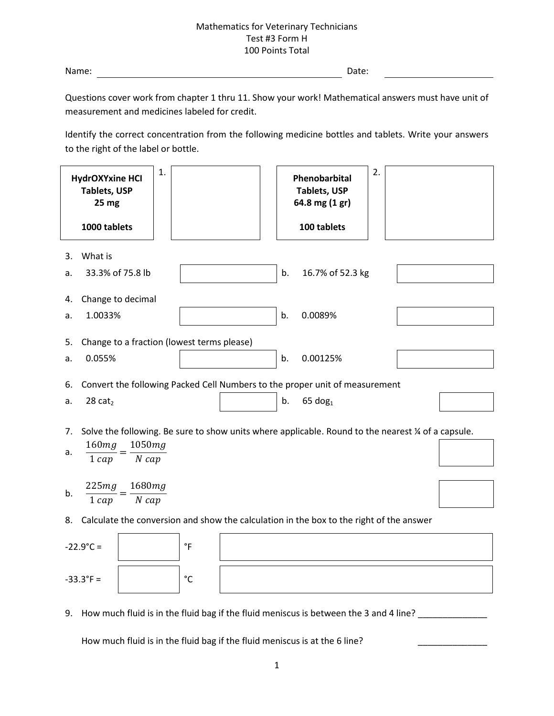Name: Date:

Questions cover work from chapter 1 thru 11. Show your work! Mathematical answers must have unit of measurement and medicines labeled for credit.

Identify the correct concentration from the following medicine bottles and tablets. Write your answers to the right of the label or bottle.

| 1.<br><b>HydrOXYxine HCI</b><br><b>Tablets, USP</b><br>25 mg                                                                                              |                   | 2.<br>Phenobarbital<br><b>Tablets, USP</b><br>64.8 mg (1 gr)                                               |  |
|-----------------------------------------------------------------------------------------------------------------------------------------------------------|-------------------|------------------------------------------------------------------------------------------------------------|--|
| 1000 tablets                                                                                                                                              |                   | 100 tablets                                                                                                |  |
| What is<br>3.<br>33.3% of 75.8 lb<br>a.                                                                                                                   |                   | b.<br>16.7% of 52.3 kg                                                                                     |  |
| Change to decimal<br>4.<br>1.0033%<br>a.                                                                                                                  |                   | b.<br>0.0089%                                                                                              |  |
| Change to a fraction (lowest terms please)<br>5.<br>0.055%<br>a.                                                                                          |                   | b.<br>0.00125%                                                                                             |  |
| 6.<br>28 $cat2$<br>a.                                                                                                                                     |                   | Convert the following Packed Cell Numbers to the proper unit of measurement<br>b.<br>$65$ dog <sub>1</sub> |  |
| Solve the following. Be sure to show units where applicable. Round to the nearest % of a capsule.<br>7.<br>1050mg<br>160mg<br>a.<br>$N$ cap<br>$1 \, cap$ |                   |                                                                                                            |  |
| 225mg<br>1680mg<br>b.<br>$N$ cap<br>$1 \, cap$                                                                                                            |                   |                                                                                                            |  |
| Calculate the conversion and show the calculation in the box to the right of the answer<br>8.                                                             |                   |                                                                                                            |  |
| $-22.9^{\circ}C =$                                                                                                                                        | $\degree$ F       |                                                                                                            |  |
| $-33.3^{\circ}F =$                                                                                                                                        | $^{\circ}{\rm C}$ |                                                                                                            |  |
| 9. How much fluid is in the fluid bag if the fluid meniscus is between the 3 and 4 line?                                                                  |                   |                                                                                                            |  |

How much fluid is in the fluid bag if the fluid meniscus is at the 6 line?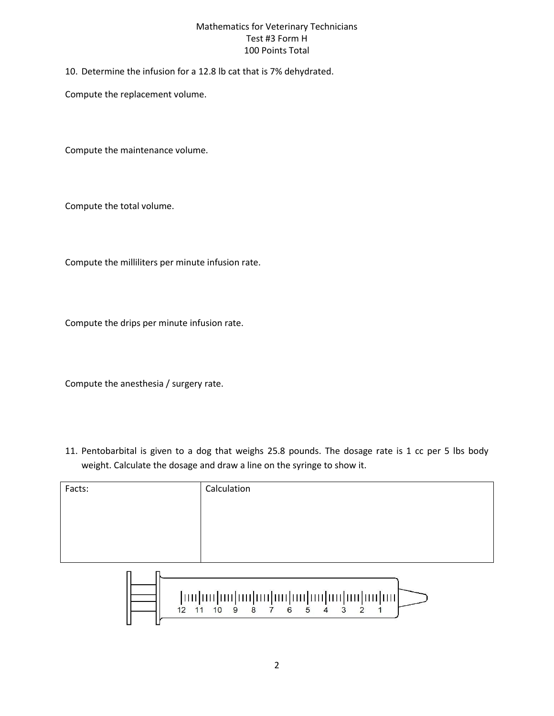10. Determine the infusion for a 12.8 lb cat that is 7% dehydrated.

Compute the replacement volume.

Compute the maintenance volume.

Compute the total volume.

Compute the milliliters per minute infusion rate.

Compute the drips per minute infusion rate.

Compute the anesthesia / surgery rate.

11. Pentobarbital is given to a dog that weighs 25.8 pounds. The dosage rate is 1 cc per 5 lbs body weight. Calculate the dosage and draw a line on the syringe to show it.

| Facts: | Calculation |
|--------|-------------|
|        |             |
|        |             |
|        |             |
|        |             |

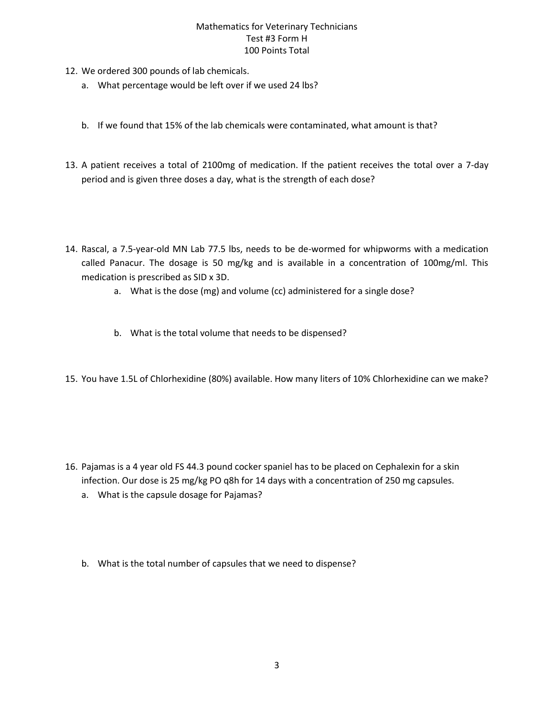- 12. We ordered 300 pounds of lab chemicals.
	- a. What percentage would be left over if we used 24 lbs?
	- b. If we found that 15% of the lab chemicals were contaminated, what amount is that?
- 13. A patient receives a total of 2100mg of medication. If the patient receives the total over a 7-day period and is given three doses a day, what is the strength of each dose?
- 14. Rascal, a 7.5-year-old MN Lab 77.5 lbs, needs to be de-wormed for whipworms with a medication called Panacur. The dosage is 50 mg/kg and is available in a concentration of 100mg/ml. This medication is prescribed as SID x 3D.
	- a. What is the dose (mg) and volume (cc) administered for a single dose?
	- b. What is the total volume that needs to be dispensed?
- 15. You have 1.5L of Chlorhexidine (80%) available. How many liters of 10% Chlorhexidine can we make?

- 16. Pajamas is a 4 year old FS 44.3 pound cocker spaniel has to be placed on Cephalexin for a skin infection. Our dose is 25 mg/kg PO q8h for 14 days with a concentration of 250 mg capsules.
	- a. What is the capsule dosage for Pajamas?
	- b. What is the total number of capsules that we need to dispense?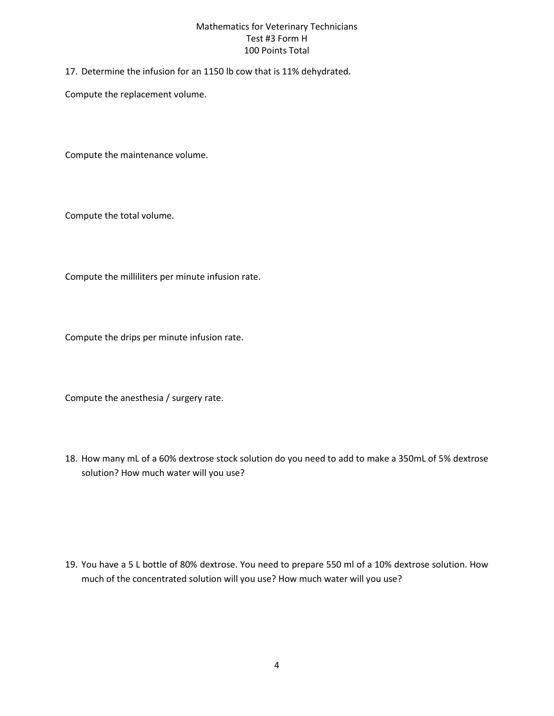17. Determine the infusion for an 1150 lb cow that is 11% dehydrated.

Compute the replacement volume.

Compute the maintenance volume.

Compute the total volume.

Compute the milliliters per minute infusion rate.

Compute the drips per minute infusion rate.

Compute the anesthesia / surgery rate.

18. How many mL of a 60% dextrose stock solution do you need to add to make a 350mL of 5% dextrose solution? How much water will you use?

19. You have a 5 L bottle of 80% dextrose. You need to prepare 550 ml of a 10% dextrose solution. How much of the concentrated solution will you use? How much water will you use?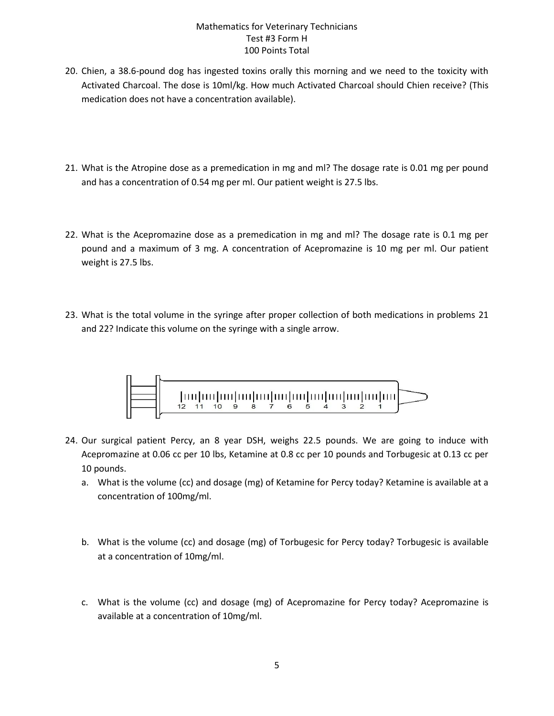- 20. Chien, a 38.6-pound dog has ingested toxins orally this morning and we need to the toxicity with Activated Charcoal. The dose is 10ml/kg. How much Activated Charcoal should Chien receive? (This medication does not have a concentration available).
- 21. What is the Atropine dose as a premedication in mg and ml? The dosage rate is 0.01 mg per pound and has a concentration of 0.54 mg per ml. Our patient weight is 27.5 lbs.
- 22. What is the Acepromazine dose as a premedication in mg and ml? The dosage rate is 0.1 mg per pound and a maximum of 3 mg. A concentration of Acepromazine is 10 mg per ml. Our patient weight is 27.5 lbs.
- 23. What is the total volume in the syringe after proper collection of both medications in problems 21 and 22? Indicate this volume on the syringe with a single arrow.



- 24. Our surgical patient Percy, an 8 year DSH, weighs 22.5 pounds. We are going to induce with Acepromazine at 0.06 cc per 10 lbs, Ketamine at 0.8 cc per 10 pounds and Torbugesic at 0.13 cc per 10 pounds.
	- a. What is the volume (cc) and dosage (mg) of Ketamine for Percy today? Ketamine is available at a concentration of 100mg/ml.
	- b. What is the volume (cc) and dosage (mg) of Torbugesic for Percy today? Torbugesic is available at a concentration of 10mg/ml.
	- c. What is the volume (cc) and dosage (mg) of Acepromazine for Percy today? Acepromazine is available at a concentration of 10mg/ml.